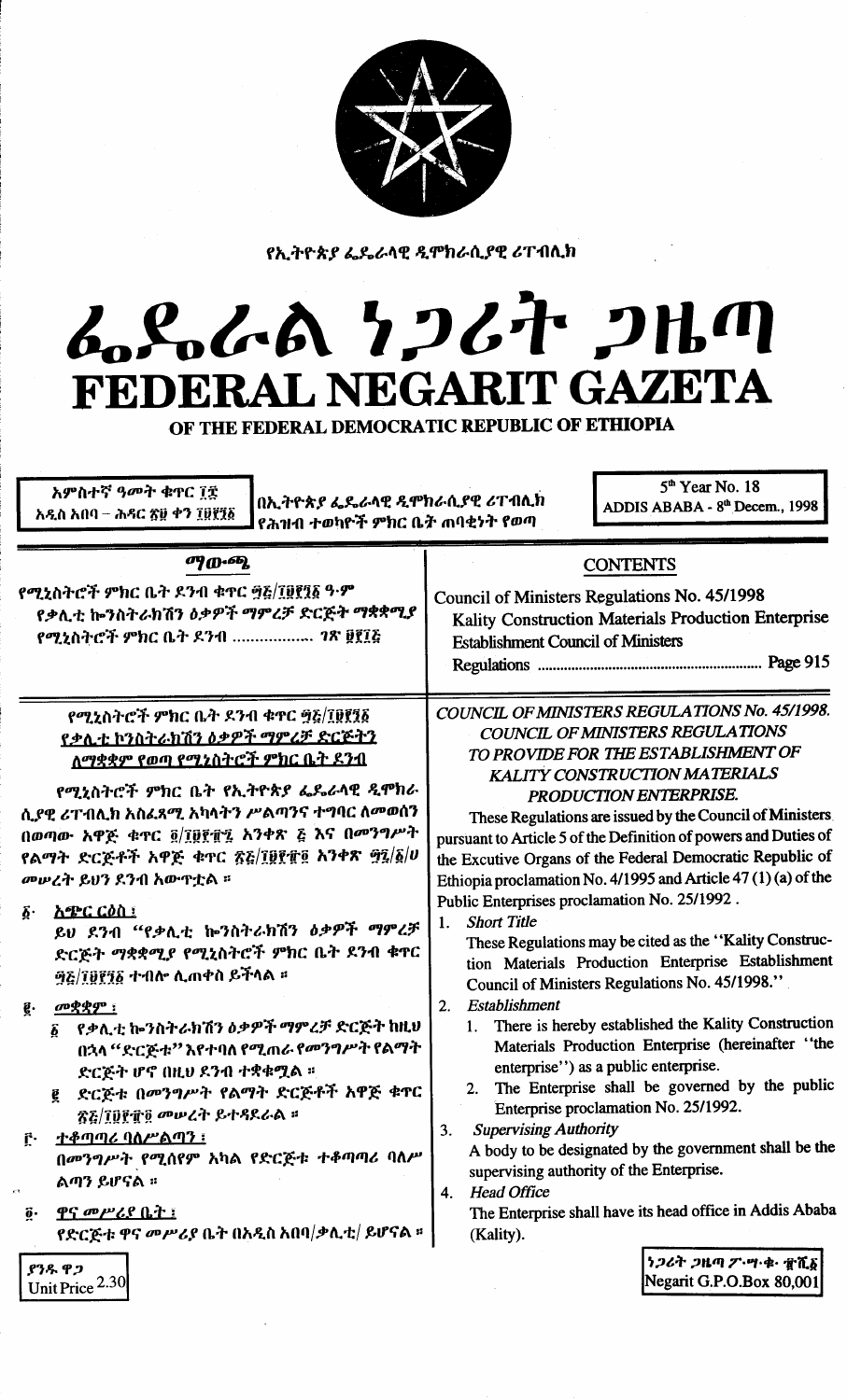

የኢትዮጵያ ፌዴራላዊ ዲሞክራሲያዊ ሪፐብሊክ

## L.S.L.A 7267 2Hm FEDERAL NEGARIT GAZETA

OF THE FEDERAL DEMOCRATIC REPUBLIC OF ETHIOPIA

| አምስተኛ ዓ <b>መት ቁ</b> ዋር ፲፰<br>በኢትዮጵያ ፌዴራላዊ ዲሞክራሲያዊ ሪፐብሊክ<br>አዲስ አበባ – ሕዳር ጽ፱ ቀን ፲፱፻፺፩<br>የሕዝብ ተወካዮች ምክር ቤት ጠባቂነት የወጣ                                                                                                                                                                                     | $5th$ Year No. 18<br>ADDIS ABABA - 8th Decem., 1998                                                                                                                                                                                                                                                                                                                                                                                                                                                                                                                                                                                                                                                                                                                                                                         |  |
|---------------------------------------------------------------------------------------------------------------------------------------------------------------------------------------------------------------------------------------------------------------------------------------------------------|-----------------------------------------------------------------------------------------------------------------------------------------------------------------------------------------------------------------------------------------------------------------------------------------------------------------------------------------------------------------------------------------------------------------------------------------------------------------------------------------------------------------------------------------------------------------------------------------------------------------------------------------------------------------------------------------------------------------------------------------------------------------------------------------------------------------------------|--|
| $\sigma$ <i>{</i> $\sigma$ <sup>2</sup> }<br>የሚኒስትሮች ምክር ቤት ደንብ ቁጥር ፵፭/፲፱፻፺፩ ዓ·ም<br>የቃሊቲ ኰንስትራክሽን ዕቃዎች ማምረቻ ድርጅት ማቋቋሚያ<br>የሚኒስትሮች ምክር ቤት ደንብ  ገጽ ፱፻፲፩                                                                                                                                                   | <b>CONTENTS</b><br>Council of Ministers Regulations No. 45/1998<br>Kality Construction Materials Production Enterprise<br><b>Establishment Council of Ministers</b>                                                                                                                                                                                                                                                                                                                                                                                                                                                                                                                                                                                                                                                         |  |
| የሚኒስትሮች ምክር ቤት ደንብ ቁዋር ፵፭/፲፱፻፺፩<br><u>የቃሊቲ ኮንስትራክሽን ዕቃዎች ማምረቻ ድርጅትን</u><br><u>ለማቋቋም የወጣ የሚኒስትሮች ምክር ቤት ደንብ</u>                                                                                                                                                                                          | COUNCIL OF MINISTERS REGULATIONS No. 45/1998.<br><b>COUNCIL OF MINISTERS REGULATIONS</b><br>TO PROVIDE FOR THE ESTABLISHMENT OF<br>KALITY CONSTRUCTION MATERIALS                                                                                                                                                                                                                                                                                                                                                                                                                                                                                                                                                                                                                                                            |  |
| የሚኒስትሮች ምክር ቤት የኢትዮጵያ ፌዴራላዊ ዲሞክራ<br>ሲያዊ ሪፐብሊክ አስፈጻሚ አካላትን ሥልጣንና ተግባር ለመወሰን<br>በወጣው አዋጅ ቁጥር ፬/፲፱፻፹፯ አንቀጽ ፭ እና በመንግሥት<br>የልማት ድርጅቶች አዋጅ ቁተር ፳፭/፲፱፻፹፬ አንቀጽ ፵፯/፩/ሀ<br>መሠረት ይህን ደንብ አውዋቷል ፡፡                                                                                                                 | PRODUCTION ENTERPRISE.<br>These Regulations are issued by the Council of Ministers<br>pursuant to Article 5 of the Definition of powers and Duties of<br>the Excutive Organs of the Federal Democratic Republic of<br>Ethiopia proclamation No. 4/1995 and Article 47 (1) (a) of the                                                                                                                                                                                                                                                                                                                                                                                                                                                                                                                                        |  |
| <u>አጭር ርዕስ ፤</u><br>$\boldsymbol{\delta}$ .<br>ይህ ደንብ "የቃሊቲ ኰንስትራክሽን ዕቃዎች ማምረቻ<br>ድርጅት ማቋቋሚያ የሚኒስትሮች ምክር ቤት ደንብ ቁጥር<br><i>ዓይ ፲፱፻፺፩ ተብሎ ሊ</i> ጠቀስ ይችላል ፡፡                                                                                                                                                | Public Enterprises proclamation No. 25/1992.<br><b>Short Title</b><br>1.<br>These Regulations may be cited as the "Kality Construc-<br>tion Materials Production Enterprise Establishment<br>Council of Ministers Regulations No. 45/1998."<br>Establishment<br>2.<br>1. There is hereby established the Kality Construction<br>Materials Production Enterprise (hereinafter "the<br>enterprise'') as a public enterprise.<br>2. The Enterprise shall be governed by the public<br>Enterprise proclamation No. 25/1992.<br><b>Supervising Authority</b><br>3.<br>A body to be designated by the government shall be the<br>supervising authority of the Enterprise.<br><b>Head Office</b><br>4.<br>The Enterprise shall have its head office in Addis Ababa<br>(Kality).<br>うつሪት ጋዜጣ ፖ・ツ・ቁ・ すれる<br>Negarit G.P.O.Box 80,001 |  |
| <u>መቋቋም ፡</u><br>ĝ.<br>የቃሊቲ ኰንስትራክሽን ዕቃዎች ማምረቻ ድርጅት ከዚህ<br>$\boldsymbol{\delta}$<br>በኋላ ''ድርጅቱ'' እየተባለ የሚጠራ የመንግሥት የልማት<br>ድርጅት ሆኖ በዚህ ደንብ ተቋቁሟል ።<br>ድርጅቱ በመንግሥት የልማት ድርጅቶች አዋጅ ቁዋር<br>ē.<br>ኛ፩/፲፬፻፹፬ መሥረት ይተዳደራል ።<br><u> ተቆጣጣሪ ባለሥልጣን ፣</u><br>Ĉ۰<br>በመንግሥት የሚሰየም አካል የድርጅቱ ተቆጣጣሪ ባለሥ<br>ልጣን ይሆናል ፡፡ |                                                                                                                                                                                                                                                                                                                                                                                                                                                                                                                                                                                                                                                                                                                                                                                                                             |  |
| <u>ዋና መሥሪያ ቤት ፡</u><br>$\ddot{\mathbf{g}}\cdot$<br>የድርጅቱ ዋና መሥሪያ ቤት በአዲስ አበባ/ቃሊቲ/ ይሆናል ።<br>ያንዱ ዋጋ<br>Unit Price 2.30                                                                                                                                                                                   |                                                                                                                                                                                                                                                                                                                                                                                                                                                                                                                                                                                                                                                                                                                                                                                                                             |  |